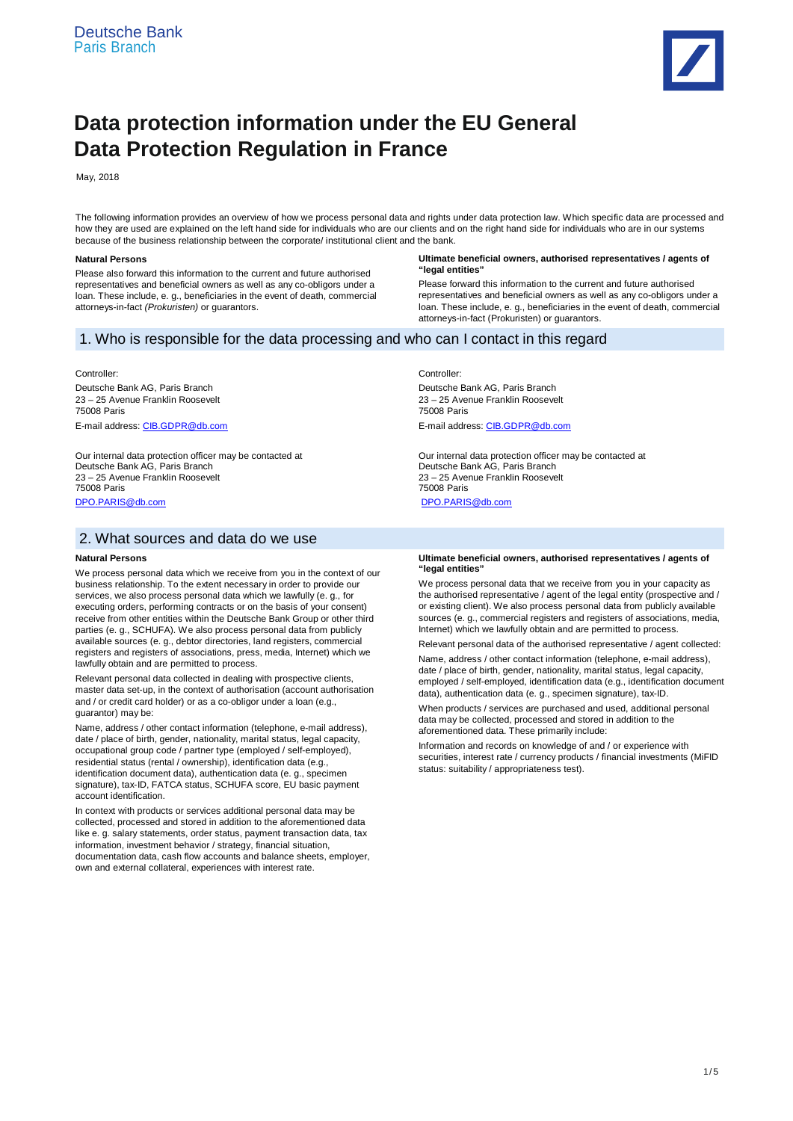

# **Data protection information under the EU General Data Protection Regulation in France**

May, 2018

The following information provides an overview of how we process personal data and rights under data protection law. Which specific data are processed and how they are used are explained on the left hand side for individuals who are our clients and on the right hand side for individuals who are in our systems because of the business relationship between the corporate/ institutional client and the bank.

#### **Natural Persons**

Please also forward this information to the current and future authorised representatives and beneficial owners as well as any co-obligors under a loan. These include, e. g., beneficiaries in the event of death, commercial attorneys-in-fact *(Prokuristen)* or guarantors.

#### **Ultimate beneficial owners, authorised representatives / agents of "legal entities"**

Please forward this information to the current and future authorised representatives and beneficial owners as well as any co-obligors under a loan. These include, e. g., beneficiaries in the event of death, commercial attorneys-in-fact (Prokuristen) or guarantors.

# 1. Who is responsible for the data processing and who can I contact in this regard

## Controller:

Deutsche Bank AG, Paris Branch 23 – 25 Avenue Franklin Roosevelt 75008 Paris E-mail address: CIB.GDPR@db.com

Our internal data protection officer may be contacted at Deutsche Bank AG, Paris Branch 23 – 25 Avenue Franklin Roosevelt 75008 Paris DPO.PARIS@db.com

# 2. What sources and data do we use

#### **Natural Persons**

We process personal data which we receive from you in the context of our business relationship. To the extent necessary in order to provide our services, we also process personal data which we lawfully (e. g., for executing orders, performing contracts or on the basis of your consent) receive from other entities within the Deutsche Bank Group or other third parties (e. g., SCHUFA). We also process personal data from publicly available sources (e. g., debtor directories, land registers, commercial registers and registers of associations, press, media, Internet) which we lawfully obtain and are permitted to process.

Relevant personal data collected in dealing with prospective clients, master data set-up, in the context of authorisation (account authorisation and / or credit card holder) or as a co-obligor under a loan (e.g., guarantor) may be:

Name, address / other contact information (telephone, e-mail address), date / place of birth, gender, nationality, marital status, legal capacity, occupational group code / partner type (employed / self-employed), residential status (rental / ownership), identification data (e.g., identification document data), authentication data (e. g., specimen signature), tax-ID, FATCA status, SCHUFA score, EU basic payment account identification.

In context with products or services additional personal data may be collected, processed and stored in addition to the aforementioned data like e. g. salary statements, order status, payment transaction data, tax information, investment behavior / strategy, financial situation, documentation data, cash flow accounts and balance sheets, employer, own and external collateral, experiences with interest rate.

Controller:

Deutsche Bank AG, Paris Branch 23 – 25 Avenue Franklin Roosevelt 75008 Paris E-mail address: CIB.GDPR@db.com

Our internal data protection officer may be contacted at Deutsche Bank AG, Paris Branch 23 – 25 Avenue Franklin Roosevelt 75008 Paris DPO.PARIS@db.com

#### **Ultimate beneficial owners, authorised representatives / agents of "legal entities"**

We process personal data that we receive from you in your capacity as the authorised representative / agent of the legal entity (prospective and / or existing client). We also process personal data from publicly available sources (e. g., commercial registers and registers of associations, media, Internet) which we lawfully obtain and are permitted to process.

Relevant personal data of the authorised representative / agent collected: Name, address / other contact information (telephone, e-mail address), date / place of birth, gender, nationality, marital status, legal capacity, employed / self-employed, identification data (e.g., identification document data), authentication data (e. g., specimen signature), tax-ID.

When products / services are purchased and used, additional personal data may be collected, processed and stored in addition to the aforementioned data. These primarily include:

Information and records on knowledge of and / or experience with securities, interest rate / currency products / financial investments (MiFID status: suitability / appropriateness test).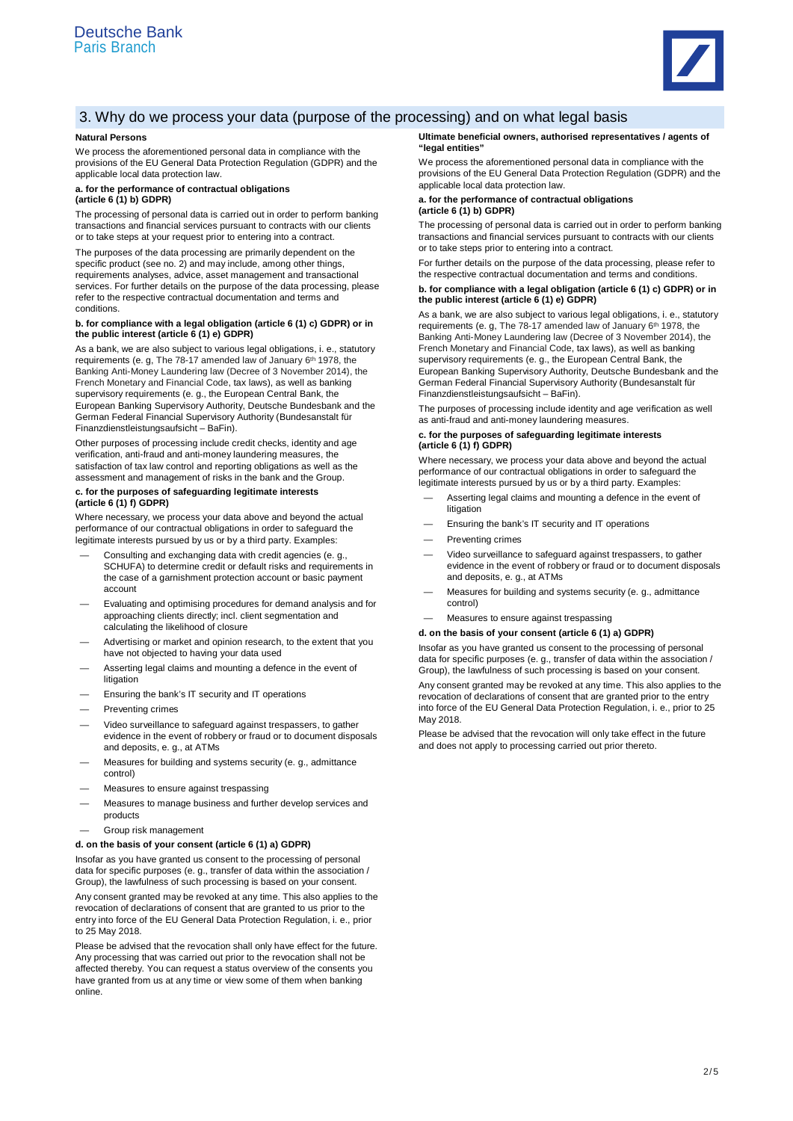

# 3. Why do we process your data (purpose of the processing) and on what legal basis

## **Natural Persons**

We process the aforementioned personal data in compliance with the provisions of the EU General Data Protection Regulation (GDPR) and the applicable local data protection law.

#### **a. for the performance of contractual obligations (article 6 (1) b) GDPR)**

The processing of personal data is carried out in order to perform banking transactions and financial services pursuant to contracts with our clients or to take steps at your request prior to entering into a contract.

The purposes of the data processing are primarily dependent on the specific product (see no. 2) and may include, among other things, requirements analyses, advice, asset management and transactional services. For further details on the purpose of the data processing, please refer to the respective contractual documentation and terms and conditions.

#### **b. for compliance with a legal obligation (article 6 (1) c) GDPR) or in the public interest (article 6 (1) e) GDPR)**

As a bank, we are also subject to various legal obligations, i. e., statutory requirements (e. g, The 78-17 amended law of January 6th 1978, the Banking Anti-Money Laundering law (Decree of 3 November 2014), the French Monetary and Financial Code, tax laws), as well as banking supervisory requirements (e. g., the European Central Bank, the European Banking Supervisory Authority, Deutsche Bundesbank and the German Federal Financial Supervisory Authority (Bundesanstalt für Finanzdienstleistungsaufsicht – BaFin).

Other purposes of processing include credit checks, identity and age verification, anti-fraud and anti-money laundering measures, the satisfaction of tax law control and reporting obligations as well as the assessment and management of risks in the bank and the Group.

#### **c. for the purposes of safeguarding legitimate interests (article 6 (1) f) GDPR)**

Where necessary, we process your data above and beyond the actual performance of our contractual obligations in order to safeguard the legitimate interests pursued by us or by a third party. Examples:

- Consulting and exchanging data with credit agencies (e. g., SCHUFA) to determine credit or default risks and requirements in the case of a garnishment protection account or basic payment account
- Evaluating and optimising procedures for demand analysis and for approaching clients directly; incl. client segmentation and calculating the likelihood of closure
- Advertising or market and opinion research, to the extent that you have not objected to having your data used
- Asserting legal claims and mounting a defence in the event of litigation
- Ensuring the bank's IT security and IT operations
- Preventing crimes
- Video surveillance to safeguard against trespassers, to gather evidence in the event of robbery or fraud or to document disposals and deposits, e. g., at ATMs
- Measures for building and systems security (e. g., admittance control)
- Measures to ensure against trespassing
- Measures to manage business and further develop services and products
- Group risk management

## **d. on the basis of your consent (article 6 (1) a) GDPR)**

Insofar as you have granted us consent to the processing of personal data for specific purposes (e. g., transfer of data within the association / Group), the lawfulness of such processing is based on your consent.

Any consent granted may be revoked at any time. This also applies to the revocation of declarations of consent that are granted to us prior to the entry into force of the EU General Data Protection Regulation, i. e., prior to 25 May 2018.

Please be advised that the revocation shall only have effect for the future. Any processing that was carried out prior to the revocation shall not be affected thereby. You can request a status overview of the consents you have granted from us at any time or view some of them when banking online.

#### **Ultimate beneficial owners, authorised representatives / agents of "legal entities"**

We process the aforementioned personal data in compliance with the provisions of the EU General Data Protection Regulation (GDPR) and the applicable local data protection law.

### **a. for the performance of contractual obligations (article 6 (1) b) GDPR)**

The processing of personal data is carried out in order to perform banking transactions and financial services pursuant to contracts with our clients or to take steps prior to entering into a contract.

For further details on the purpose of the data processing, please refer to the respective contractual documentation and terms and conditions.

# **b. for compliance with a legal obligation (article 6 (1) c) GDPR) or in the public interest (article 6 (1) e) GDPR)**

As a bank, we are also subject to various legal obligations, i. e., statutory requirements (e. g, The 78-17 amended law of January 6th 1978, the Banking Anti-Money Laundering law (Decree of 3 November 2014), the French Monetary and Financial Code, tax laws), as well as banking supervisory requirements (e. g., the European Central Bank, the European Banking Supervisory Authority, Deutsche Bundesbank and the German Federal Financial Supervisory Authority (Bundesanstalt für Finanzdienstleistungsaufsicht – BaFin).

The purposes of processing include identity and age verification as well as anti-fraud and anti-money laundering measures.

#### **c. for the purposes of safeguarding legitimate interests (article 6 (1) f) GDPR)**

Where necessary, we process your data above and beyond the actual performance of our contractual obligations in order to safeguard the legitimate interests pursued by us or by a third party. Examples:

- Asserting legal claims and mounting a defence in the event of litigation
- Ensuring the bank's IT security and IT operations
- Preventing crimes
- Video surveillance to safeguard against trespassers, to gather evidence in the event of robbery or fraud or to document disposals and deposits, e. g., at ATMs
- Measures for building and systems security (e. g., admittance control)
- Measures to ensure against trespassing

## **d. on the basis of your consent (article 6 (1) a) GDPR)**

Insofar as you have granted us consent to the processing of personal data for specific purposes (e. g., transfer of data within the association / Group), the lawfulness of such processing is based on your consent.

Any consent granted may be revoked at any time. This also applies to the revocation of declarations of consent that are granted prior to the entry into force of the EU General Data Protection Regulation, i. e., prior to 25 May 2018.

Please be advised that the revocation will only take effect in the future and does not apply to processing carried out prior thereto.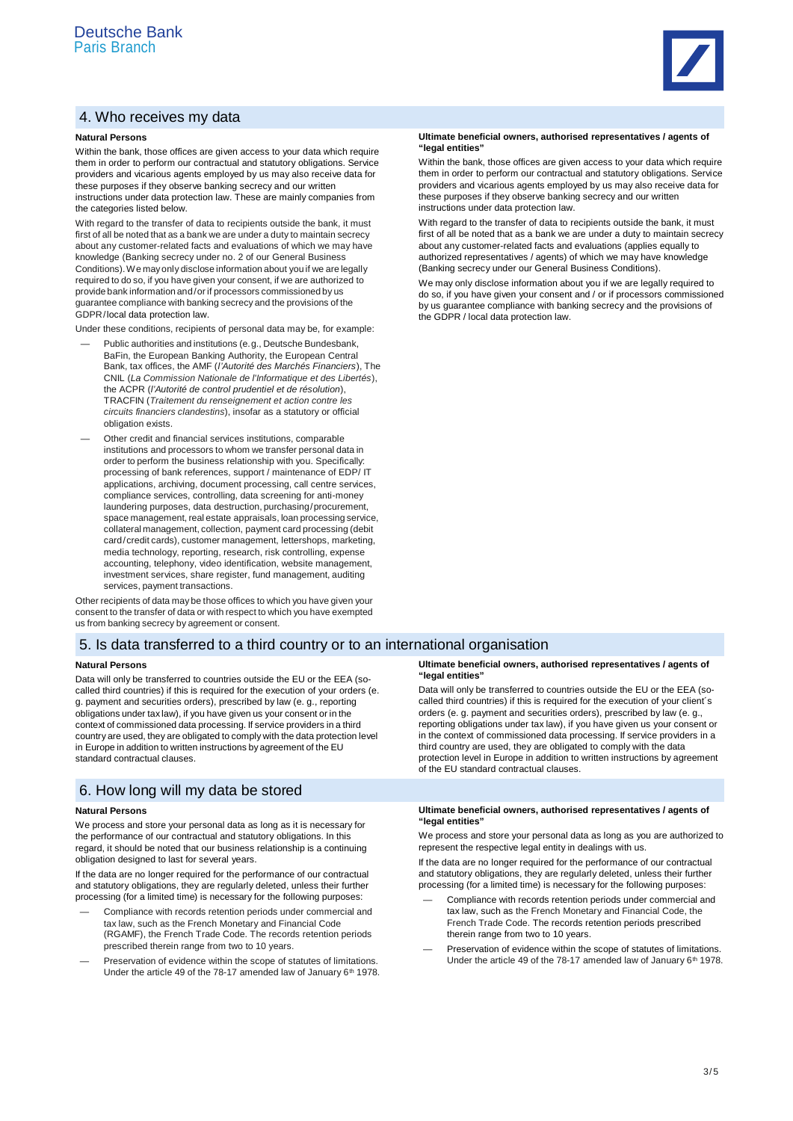# 4. Who receives my data

## **Natural Persons**

Within the bank, those offices are given access to your data which require them in order to perform our contractual and statutory obligations. Service providers and vicarious agents employed by us may also receive data for these purposes if they observe banking secrecy and our written instructions under data protection law. These are mainly companies from the categories listed below.

With regard to the transfer of data to recipients outside the bank, it must first of all be noted that as a bank we are under a duty to maintain secrecy about any customer-related facts and evaluations of which we may have knowledge (Banking secrecy under no. 2 of our General Business Conditions). We may only disclose information about you if we are legally required to do so, if you have given your consent, if we are authorized to provide bank information and / or if processors commissioned by us guarantee compliance with banking secrecy and the provisions of the GDPR /local data protection law.

Under these conditions, recipients of personal data may be, for example:

- Public authorities and institutions (e. g., Deutsche Bundesbank, BaFin, the European Banking Authority, the European Central Bank, tax offices, the AMF (*l'Autorité des Marchés Financiers*), The CNIL (*La Commission Nationale de l'Informatique et des Libertés*), the ACPR (*l'Autorité de control prudentiel et de résolution*), TRACFIN (*Traitement du renseignement et action contre les circuits financiers clandestins*), insofar as a statutory or official obligation exists.
- Other credit and financial services institutions, comparable institutions and processors to whom we transfer personal data in order to perform the business relationship with you. Specifically: processing of bank references, support / maintenance of EDP/ IT applications, archiving, document processing, call centre services, compliance services, controlling, data screening for anti-money laundering purposes, data destruction, purchasing / procurement, space management, real estate appraisals, loan processing service, collateral management, collection, payment card processing (debit card/credit cards), customer management, lettershops, marketing, media technology, reporting, research, risk controlling, expense accounting, telephony, video identification, website management, investment services, share register, fund management, auditing services, payment transactions.

Other recipients of data may be those offices to which you have given your consent to the transfer of data or with respect to which you have exempted us from banking secrecy by agreement or consent.

# 5. Is data transferred to a third country or to an international organisation

#### **Natural Persons**

Data will only be transferred to countries outside the EU or the EEA (socalled third countries) if this is required for the execution of your orders (e. g. payment and securities orders), prescribed by law (e. g., reporting obligations under tax law), if you have given us your consent or in the context of commissioned data processing. If service providers in a third country are used, they are obligated to comply with the data protection level in Europe in addition to written instructions by agreement of the EU standard contractual clauses.

# 6. How long will my data be stored

#### **Natural Persons**

We process and store your personal data as long as it is necessary for the performance of our contractual and statutory obligations. In this regard, it should be noted that our business relationship is a continuing obligation designed to last for several years.

If the data are no longer required for the performance of our contractual and statutory obligations, they are regularly deleted, unless their further processing (for a limited time) is necessary for the following purposes:

- Compliance with records retention periods under commercial and tax law, such as the French Monetary and Financial Code (RGAMF), the French Trade Code. The records retention periods prescribed therein range from two to 10 years.
- Preservation of evidence within the scope of statutes of limitations. Under the article 49 of the 78-17 amended law of January 6<sup>th</sup> 1978.

#### **Ultimate beneficial owners, authorised representatives / agents of "legal entities"**

Within the bank, those offices are given access to your data which require them in order to perform our contractual and statutory obligations. Service providers and vicarious agents employed by us may also receive data for these purposes if they observe banking secrecy and our written instructions under data protection law.

With regard to the transfer of data to recipients outside the bank, it must first of all be noted that as a bank we are under a duty to maintain secrecy about any customer-related facts and evaluations (applies equally to authorized representatives / agents) of which we may have knowledge (Banking secrecy under our General Business Conditions).

We may only disclose information about you if we are legally required to do so, if you have given your consent and / or if processors commissioned by us guarantee compliance with banking secrecy and the provisions of the GDPR / local data protection law.

#### **Ultimate beneficial owners, authorised representatives / agents of "legal entities"**

Data will only be transferred to countries outside the EU or the EEA (socalled third countries) if this is required for the execution of your client´s orders (e. g. payment and securities orders), prescribed by law (e. g., reporting obligations under tax law), if you have given us your consent or in the context of commissioned data processing. If service providers in a third country are used, they are obligated to comply with the data protection level in Europe in addition to written instructions by agreement of the EU standard contractual clauses.

## **Ultimate beneficial owners, authorised representatives / agents of "legal entities"**

We process and store your personal data as long as you are authorized to represent the respective legal entity in dealings with us.

If the data are no longer required for the performance of our contractual and statutory obligations, they are regularly deleted, unless their further processing (for a limited time) is necessary for the following purposes:

- Compliance with records retention periods under commercial and tax law, such as the French Monetary and Financial Code, the French Trade Code. The records retention periods prescribed therein range from two to 10 years.
- Preservation of evidence within the scope of statutes of limitations. Under the article 49 of the 78-17 amended law of January  $6<sup>th</sup>$  1978.

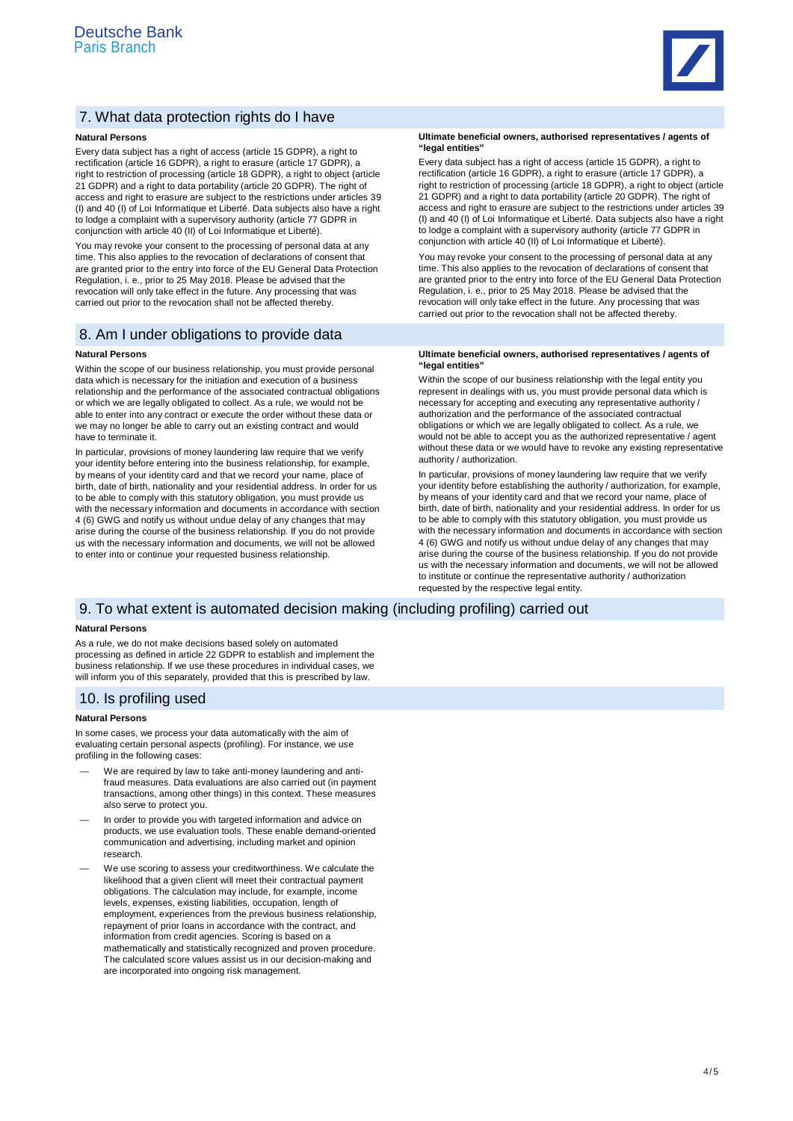

# 7. What data protection rights do I have

## **Natural Persons**

Every data subject has a right of access (article 15 GDPR), a right to rectification (article 16 GDPR), a right to erasure (article 17 GDPR), a right to restriction of processing (article 18 GDPR), a right to object (article 21 GDPR) and a right to data portability (article 20 GDPR). The right of access and right to erasure are subject to the restrictions under articles 39 (I) and 40 (I) of Loi Informatique et Liberté. Data subjects also have a right to lodge a complaint with a supervisory authority (article 77 GDPR in conjunction with article 40 (II) of Loi Informatique et Liberté).

You may revoke your consent to the processing of personal data at any time. This also applies to the revocation of declarations of consent that are granted prior to the entry into force of the EU General Data Protection Regulation, i. e., prior to 25 May 2018. Please be advised that the revocation will only take effect in the future. Any processing that was carried out prior to the revocation shall not be affected thereby.

# 8. Am I under obligations to provide data

## **Natural Persons**

Within the scope of our business relationship, you must provide personal data which is necessary for the initiation and execution of a business relationship and the performance of the associated contractual obligations or which we are legally obligated to collect. As a rule, we would not be able to enter into any contract or execute the order without these data or we may no longer be able to carry out an existing contract and would have to terminate it.

In particular, provisions of money laundering law require that we verify your identity before entering into the business relationship, for example, by means of your identity card and that we record your name, place of birth, date of birth, nationality and your residential address. In order for us to be able to comply with this statutory obligation, you must provide us with the necessary information and documents in accordance with section 4 (6) GWG and notify us without undue delay of any changes that may arise during the course of the business relationship. If you do not provide us with the necessary information and documents, we will not be allowed to enter into or continue your requested business relationship.

#### **Ultimate beneficial owners, authorised representatives / agents of "legal entities"**

Every data subject has a right of access (article 15 GDPR), a right to rectification (article 16 GDPR), a right to erasure (article 17 GDPR), a right to restriction of processing (article 18 GDPR), a right to object (article 21 GDPR) and a right to data portability (article 20 GDPR). The right of access and right to erasure are subject to the restrictions under articles 39 (I) and 40 (I) of Loi Informatique et Liberté. Data subjects also have a right to lodge a complaint with a supervisory authority (article 77 GDPR in conjunction with article 40 (II) of Loi Informatique et Liberté).

You may revoke your consent to the processing of personal data at any time. This also applies to the revocation of declarations of consent that are granted prior to the entry into force of the EU General Data Protection Regulation, i. e., prior to 25 May 2018. Please be advised that the revocation will only take effect in the future. Any processing that was carried out prior to the revocation shall not be affected thereby.

#### **Ultimate beneficial owners, authorised representatives / agents of "legal entities"**

Within the scope of our business relationship with the legal entity you represent in dealings with us, you must provide personal data which is necessary for accepting and executing any representative authority / authorization and the performance of the associated contractual obligations or which we are legally obligated to collect. As a rule, we would not be able to accept you as the authorized representative / agent without these data or we would have to revoke any existing representative authority / authorization.

In particular, provisions of money laundering law require that we verify your identity before establishing the authority / authorization, for example, by means of your identity card and that we record your name, place of birth, date of birth, nationality and your residential address. In order for us to be able to comply with this statutory obligation, you must provide us with the necessary information and documents in accordance with section 4 (6) GWG and notify us without undue delay of any changes that may arise during the course of the business relationship. If you do not provide us with the necessary information and documents, we will not be allowed to institute or continue the representative authority / authorization requested by the respective legal entity.

## 9. To what extent is automated decision making (including profiling) carried out

## **Natural Persons**

As a rule, we do not make decisions based solely on automated processing as defined in article 22 GDPR to establish and implement the business relationship. If we use these procedures in individual cases, we will inform you of this separately, provided that this is prescribed by law.

## 10. Is profiling used

#### **Natural Persons**

In some cases, we process your data automatically with the aim of evaluating certain personal aspects (profiling). For instance, we use profiling in the following cases:

- We are required by law to take anti-money laundering and antifraud measures. Data evaluations are also carried out (in payment transactions, among other things) in this context. These measures also serve to protect you.
- In order to provide you with targeted information and advice on products, we use evaluation tools. These enable demand-oriented communication and advertising, including market and opinion research.
- We use scoring to assess your creditworthiness. We calculate the likelihood that a given client will meet their contractual payment obligations. The calculation may include, for example, income levels, expenses, existing liabilities, occupation, length of employment, experiences from the previous business relationship, repayment of prior loans in accordance with the contract, and information from credit agencies. Scoring is based on a mathematically and statistically recognized and proven procedure. The calculated score values assist us in our decision-making and are incorporated into ongoing risk management.